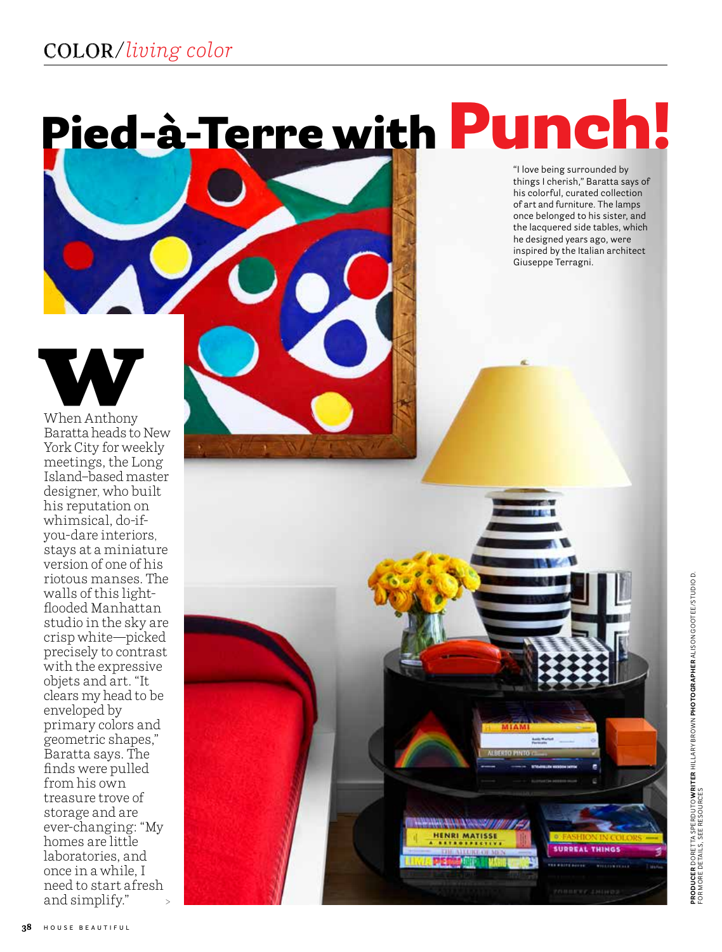# Pied-à-Terre with Punch!

"I love being surrounded by things I cherish," Baratta says of his colorful, curated collection of art and furniture. The lamps once belonged to his sister, and the lacquered side tables, which he designed years ago, were inspired by the Italian architect Giuseppe Terragni.

**HENRI MATISSE** 

**SURREAL THINGS** iana.

When Anthony Baratta heads to New York City for weekly meetings, the Long Island–based master designer, who built his reputation on whimsical, do-ifyou-dare interiors, stays at a miniature version of one of his riotous manses. The walls of this lightflooded Manhattan studio in the sky are crisp white—picked precisely to contrast with the expressive objets and art. "It clears my head to be enveloped by primary colors and geometric shapes," Baratta says. The finds were pulled from his own treasure trove of storage and are ever-changing: "My homes are little laboratories, and once in a while, I need to start afresh and simplify." >

**38 HOUSE BEAUTIFUL**